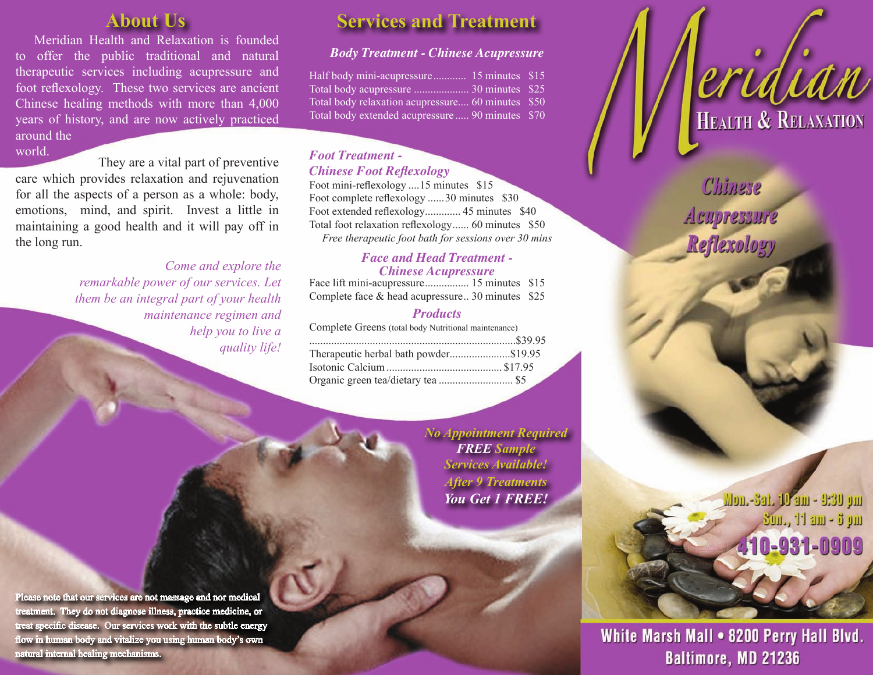# **About Us**

Meridian Health and Relaxation is founded to offer the public traditional and natural therapeutic services including acupressure and foot reflexology. These two services are ancient Chinese healing methods with more than 4,000 years of history, and are now actively practiced around the world.

 They are a vital part of preventive care which provides relaxation and rejuvenation for all the aspects of a person as a whole: body, emotions, mind, and spirit. Invest a little in maintaining a good health and it will pay off in the long run.

> *Come and explore the remarkable power of our services. Let them be an integral part of your health maintenance regimen and help you to live a quality life!*

# **Services and Treatment**

## *Body Treatment - Chinese Acupressure*

Half body mini-acupressure............... 15 minutes \$15 Total body acupressure .................... 30 minutes \$25 Total body relaxation acupressure.... 60 minutes \$50 Total body extended acupressure ..... 90 minutes \$70

### *Foot Treatment - Chinese Foot Reflexology*

Foot mini-reflexology ....15 minutes \$15 Foot complete reflexology ......30 minutes \$30 Foot extended reflexology............. 45 minutes \$40 Total foot relaxation reflexology...... 60 minutes \$50 *Free therapeutic foot bath for sessions over 30 mins*

### *Face and Head Treatment - Chinese Acupressure*

| Complete face & head acupressure 30 minutes \$25 |  |
|--------------------------------------------------|--|

## *Products*

| Complete Greens (total body Nutritional maintenance) |  |
|------------------------------------------------------|--|
|                                                      |  |
| Therapeutic herbal bath powder\$19.95                |  |
|                                                      |  |
|                                                      |  |

*No Appointment Required FREE Sample Services Available! After 9 Treatments You Get 1 FREE!*

Please note that our services are not massage and nor medical treatment. They do not diagnose illness, practice medicine, or treat specific disease. Our services work with the subtle energy flow in human body and vitalize you using human body's own natural internal healing mechanisms.

Chinese Aeupressure Reflexology

**Erlalan** 

Mon.-Sat. 10 am - 9:30 pm 3m., 11 am - 6 pm 110-931-0909

White Marsh Mall . 8200 Perry Hall Blvd. **Baltimore, MD 21236**